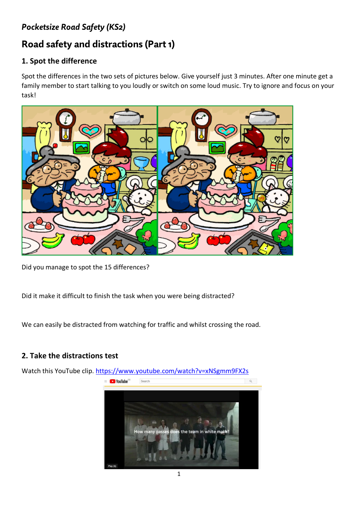# *Pocketsize Road Safety (KS2)*

# **Road safety and distractions (Part 1)**

#### **1. Spot the difference**

Spot the differences in the two sets of pictures below. Give yourself just 3 minutes. After one minute get a family member to start talking to you loudly or switch on some loud music. Try to ignore and focus on your task!



Did you manage to spot the 15 differences?

Did it make it difficult to finish the task when you were being distracted?

We can easily be distracted from watching for traffic and whilst crossing the road.

#### **2. Take the distractions test**

Watch this YouTube clip.<https://www.youtube.com/watch?v=xNSgmm9FX2s>



1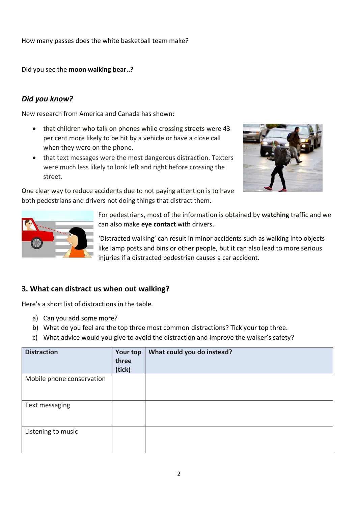How many passes does the white basketball team make?

Did you see the **moon walking bear..?**

## *Did you know?*

New research from America and Canada has shown:

- that children who talk on phones while crossing streets were 43 per cent more likely to be hit by a vehicle or have a close call when they were on the phone.
- that text messages were the most dangerous distraction. Texters were much less likely to look left and right before crossing the street.



One clear way to reduce accidents due to not paying attention is to have both pedestrians and drivers not doing things that distract them.



For pedestrians, most of the information is obtained by **watching** traffic and we can also make **eye contact** with drivers.

'Distracted walking' can result in minor accidents such as walking into objects like lamp posts and bins or other people, but it can also lead to more serious injuries if a distracted pedestrian causes a car accident.

### **3. What can distract us when out walking?**

Here's a short list of distractions in the table.

- a) Can you add some more?
- b) What do you feel are the top three most common distractions? Tick your top three.
- c) What advice would you give to avoid the distraction and improve the walker's safety?

| <b>Distraction</b>        | <b>Your top</b><br>three<br>(tick) | What could you do instead? |
|---------------------------|------------------------------------|----------------------------|
| Mobile phone conservation |                                    |                            |
| Text messaging            |                                    |                            |
| Listening to music        |                                    |                            |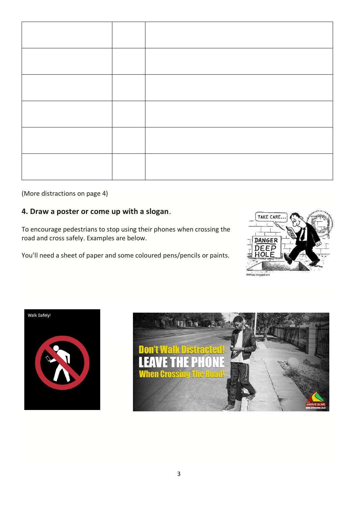(More distractions on page 4)

## **4. Draw a poster or come up with a slogan**.

To encourage pedestrians to stop using their phones when crossing the road and cross safely. Examples are below.

You'll need a sheet of paper and some coloured pens/pencils or paints.





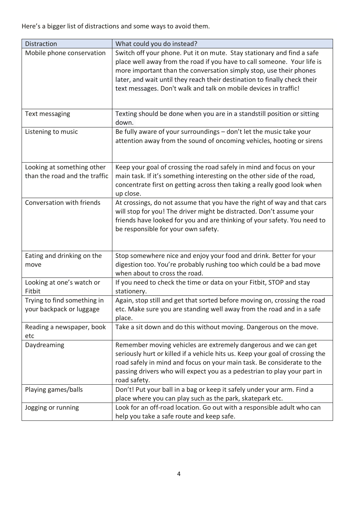Here's a bigger list of distractions and some ways to avoid them.

| <b>Distraction</b>                                          | What could you do instead?                                                                                                                                                                                                                                                                                                                                               |
|-------------------------------------------------------------|--------------------------------------------------------------------------------------------------------------------------------------------------------------------------------------------------------------------------------------------------------------------------------------------------------------------------------------------------------------------------|
| Mobile phone conservation                                   | Switch off your phone. Put it on mute. Stay stationary and find a safe<br>place well away from the road if you have to call someone. Your life is<br>more important than the conversation simply stop, use their phones<br>later, and wait until they reach their destination to finally check their<br>text messages. Don't walk and talk on mobile devices in traffic! |
| Text messaging                                              | Texting should be done when you are in a standstill position or sitting<br>down.                                                                                                                                                                                                                                                                                         |
| Listening to music                                          | Be fully aware of your surroundings - don't let the music take your<br>attention away from the sound of oncoming vehicles, hooting or sirens                                                                                                                                                                                                                             |
| Looking at something other<br>than the road and the traffic | Keep your goal of crossing the road safely in mind and focus on your<br>main task. If it's something interesting on the other side of the road,<br>concentrate first on getting across then taking a really good look when<br>up close.                                                                                                                                  |
| Conversation with friends                                   | At crossings, do not assume that you have the right of way and that cars<br>will stop for you! The driver might be distracted. Don't assume your<br>friends have looked for you and are thinking of your safety. You need to<br>be responsible for your own safety.                                                                                                      |
| Eating and drinking on the<br>move                          | Stop somewhere nice and enjoy your food and drink. Better for your<br>digestion too. You're probably rushing too which could be a bad move<br>when about to cross the road.                                                                                                                                                                                              |
| Looking at one's watch or<br>Fitbit                         | If you need to check the time or data on your Fitbit, STOP and stay<br>stationery.                                                                                                                                                                                                                                                                                       |
| Trying to find something in<br>your backpack or luggage     | Again, stop still and get that sorted before moving on, crossing the road<br>etc. Make sure you are standing well away from the road and in a safe<br>place.                                                                                                                                                                                                             |
| Reading a newspaper, book<br>etc                            | Take a sit down and do this without moving. Dangerous on the move.                                                                                                                                                                                                                                                                                                       |
| Daydreaming                                                 | Remember moving vehicles are extremely dangerous and we can get<br>seriously hurt or killed if a vehicle hits us. Keep your goal of crossing the<br>road safely in mind and focus on your main task. Be considerate to the<br>passing drivers who will expect you as a pedestrian to play your part in<br>road safety.                                                   |
| Playing games/balls                                         | Don't! Put your ball in a bag or keep it safely under your arm. Find a<br>place where you can play such as the park, skatepark etc.                                                                                                                                                                                                                                      |
| Jogging or running                                          | Look for an off-road location. Go out with a responsible adult who can<br>help you take a safe route and keep safe.                                                                                                                                                                                                                                                      |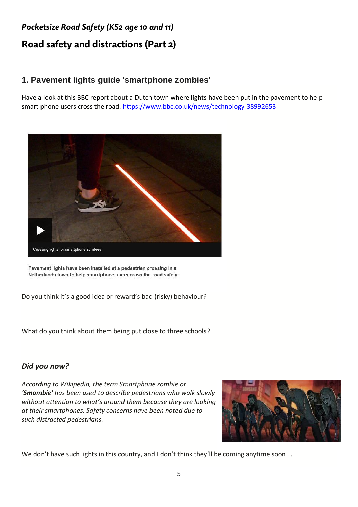# *Pocketsize Road Safety (KS2 age 10 and 11)* **Road safety and distractions (Part 2)**

## **1. Pavement lights guide 'smartphone zombies'**

Have a look at this BBC report about a Dutch town where lights have been put in the pavement to help smart phone users cross the road.<https://www.bbc.co.uk/news/technology-38992653>



Pavement lights have been installed at a pedestrian crossing in a Netherlands town to help smartphone users cross the road safely.

Do you think it's a good idea or reward's bad (risky) behaviour?

What do you think about them being put close to three schools?

#### *Did you now?*

*According to Wikipedia, the term Smartphone zombie or 'Smombie' has been used to describe pedestrians who walk slowly without attention to what's around them because they are looking at their smartphones. Safety concerns have been noted due to such distracted pedestrians.* 



We don't have such lights in this country, and I don't think they'll be coming anytime soon ...